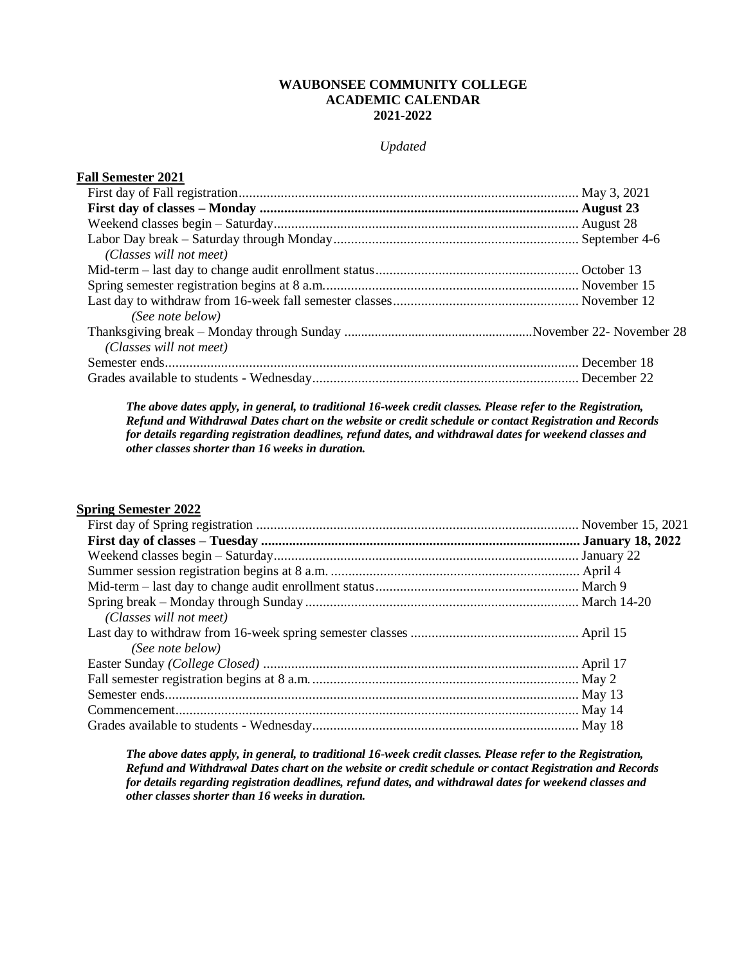## **WAUBONSEE COMMUNITY COLLEGE ACADEMIC CALENDAR 2021-2022**

## *Updated*

| <b>Fall Semester 2021</b> |  |
|---------------------------|--|
|                           |  |
|                           |  |
|                           |  |
|                           |  |
| (Classes will not meet)   |  |
|                           |  |
|                           |  |
|                           |  |
| (See note below)          |  |
|                           |  |
| (Classes will not meet)   |  |
|                           |  |
|                           |  |

*The above dates apply, in general, to traditional 16-week credit classes. Please refer to the Registration, Refund and Withdrawal Dates chart on the website or credit schedule or contact Registration and Records for details regarding registration deadlines, refund dates, and withdrawal dates for weekend classes and other classes shorter than 16 weeks in duration.* 

## **Spring Semester 2022**

*The above dates apply, in general, to traditional 16-week credit classes. Please refer to the Registration, Refund and Withdrawal Dates chart on the website or credit schedule or contact Registration and Records for details regarding registration deadlines, refund dates, and withdrawal dates for weekend classes and other classes shorter than 16 weeks in duration.*